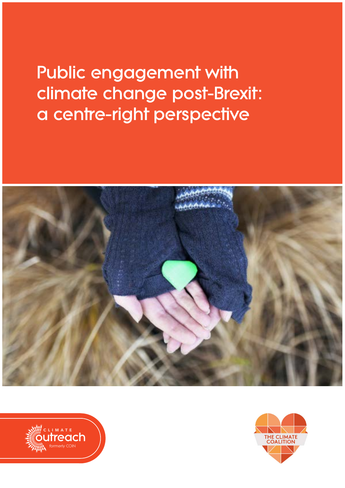Public engagement with climate change post-Brexit: a centre-right perspective





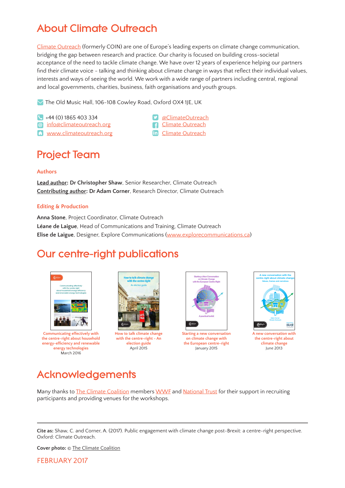## About Climate Outreach

[Climate Outreach](http://climateoutreach.org/) (formerly COIN) are one of Europe's leading experts on climate change communication, bridging the gap between research and practice. Our charity is focused on building cross-societal acceptance of the need to tackle climate change. We have over 12 years of experience helping our partners find their climate voice - talking and thinking about climate change in ways that reflect their individual values, interests and ways of seeing the world. We work with a wide range of partners including central, regional and local governments, charities, business, faith organisations and youth groups.

 $\vee$  The Old Music Hall, 106-108 Cowley Road, Oxford OX4 1JE, UK

+44 (0) 1865 403 334 [@ClimateOutreach](https://twitter.com/climateoutreach)

 $\Omega$  www.climate outreach.org

- 
- **@** [info@climateoutreach.org](mailto:info%40climateoutreach.org?subject=) **contains a climate Outreach in** Climate Outreach

## Project Team

#### **Authors**

**Lead author: Dr Christopher Shaw**, Senior Researcher, Climate Outreach **Contributing author: Dr Adam Corner**, Research Director, Climate Outreach

#### **Editing & Production**

**Anna Stone**, Project Coordinator, Climate Outreach **Léane de Laigue**, Head of Communications and Training, Climate Outreach **Elise de Laigue**, Designer, Explore Communications (www.[explorecommunications.ca](http://www.explorecommunications.ca))

## Our centre-right publications



**Communicating effectively with the centre-right about household energy-efficiency and renewable energy technologies**  March 2016



**How to talk climate change with the centre-right - An election guide** April 2015



**Starting a new conversation on climate change with the European centre-right** January 2015



**A new conversation with the centre-right about climate change** June 2013

## Acknowledgements

Many thanks to [The Climate Coalition](http://www.theclimatecoalition.org/) members [WWF](http://www.wwf.org.uk/) and [National Trust](https://www.nationaltrust.org.uk/) for their support in recruiting participants and providing venues for the workshops.

**Cover photo:** © [The Climate Coalition](http://www.theclimatecoalition.org/)

FEBRUARY 2017

**Cite as:** Shaw, C. and Corner, A. (2017). Public engagement with climate change post-Brexit: a centre-right perspective. Oxford: Climate Outreach.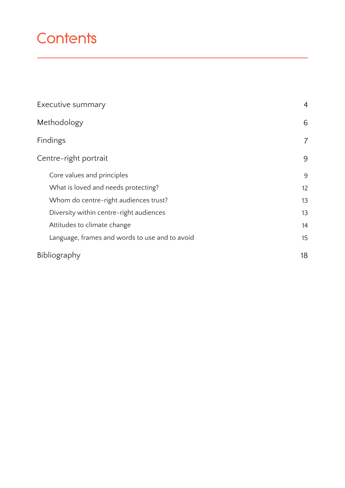# **Contents**

| Executive summary                              | $\overline{4}$ |
|------------------------------------------------|----------------|
| Methodology                                    | 6              |
| Findings                                       | 7              |
| Centre-right portrait                          | 9              |
| Core values and principles                     | 9              |
| What is loved and needs protecting?            | 12             |
| Whom do centre-right audiences trust?          | 13             |
| Diversity within centre-right audiences        | 13             |
| Attitudes to climate change                    | 14             |
| Language, frames and words to use and to avoid | 15             |
| Bibliography                                   | 18             |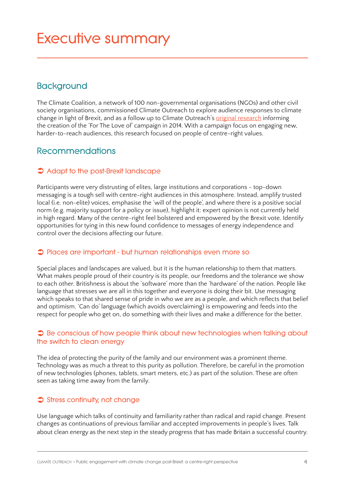## **Executive summary**

## **Background**

The Climate Coalition, a network of 100 non-governmental organisations (NGOs) and other civil society organisations, commissioned Climate Outreach to explore audience responses to climate change in light of Brexit, and as a follow up to Climate Outreach's [original research](http://climateoutreach.org/resources/how-narrative-workshops-informed-a-national-climate-change-campaign) informing the creation of the 'For The Love of' campaign in 2014. With a campaign focus on engaging new, harder-to-reach audiences, this research focused on people of centre-right values.

## **Recommendations**

### **Adapt to the post-Brexit landscape**

Participants were very distrusting of elites, large institutions and corporations - top-down messaging is a tough sell with centre-right audiences in this atmosphere. Instead, amplify trusted local (i.e. non-elite) voices, emphasise the 'will of the people', and where there is a positive social norm (e.g. majority support for a policy or issue), highlight it: expert opinion is not currently held in high regard. Many of the centre-right feel bolstered and empowered by the Brexit vote. Identify opportunities for tying in this new found confidence to messages of energy independence and control over the decisions affecting our future.

### **Places are important - but human relationships even more so**

Special places and landscapes are valued, but it is the human relationship to them that matters. What makes people proud of their country is its people, our freedoms and the tolerance we show to each other. Britishness is about the 'software' more than the 'hardware' of the nation. People like language that stresses we are all in this together and everyone is doing their bit. Use messaging which speaks to that shared sense of pride in who we are as a people, and which reflects that belief and optimism. 'Can do' language (which avoids overclaiming) is empowering and feeds into the respect for people who get on, do something with their lives and make a difference for the better.

### **Be conscious of how people think about new technologies when talking about the switch to clean energy**

The idea of protecting the purity of the family and our environment was a prominent theme. Technology was as much a threat to this purity as pollution. Therefore, be careful in the promotion of new technologies (phones, tablets, smart meters, etc.) as part of the solution. These are often seen as taking time away from the family.

### **Stress continuity, not change**

Use language which talks of continuity and familiarity rather than radical and rapid change. Present changes as continuations of previous familiar and accepted improvements in people's lives. Talk about clean energy as the next step in the steady progress that has made Britain a successful country.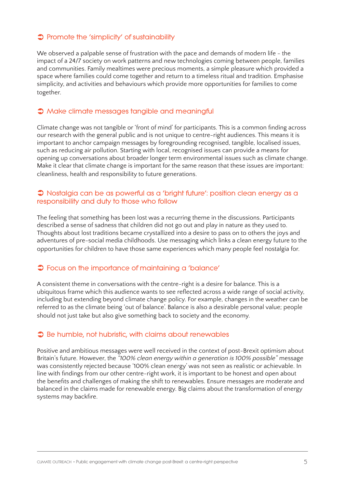### **Promote the 'simplicity' of sustainability**

We observed a palpable sense of frustration with the pace and demands of modern life - the impact of a 24/7 society on work patterns and new technologies coming between people, families and communities. Family mealtimes were precious moments, a simple pleasure which provided a space where families could come together and return to a timeless ritual and tradition. Emphasise simplicity, and activities and behaviours which provide more opportunities for families to come together.

### **Make climate messages tangible and meaningful**

Climate change was not tangible or 'front of mind' for participants. This is a common finding across our research with the general public and is not unique to centre-right audiences. This means it is important to anchor campaign messages by foregrounding recognised, tangible, localised issues, such as reducing air pollution. Starting with local, recognised issues can provide a means for opening up conversations about broader longer term environmental issues such as climate change. Make it clear that climate change is important for the same reason that these issues are important: cleanliness, health and responsibility to future generations.

#### **Nostalgia can be as powerful as a 'bright future': position clean energy as a responsibility and duty to those who follow**

The feeling that something has been lost was a recurring theme in the discussions. Participants described a sense of sadness that children did not go out and play in nature as they used to. Thoughts about lost traditions became crystallized into a desire to pass on to others the joys and adventures of pre-social media childhoods. Use messaging which links a clean energy future to the opportunities for children to have those same experiences which many people feel nostalgia for.

### **Focus on the importance of maintaining a 'balance'**

A consistent theme in conversations with the centre-right is a desire for balance. This is a ubiquitous frame which this audience wants to see reflected across a wide range of social activity, including but extending beyond climate change policy. For example, changes in the weather can be referred to as the climate being 'out of balance'. Balance is also a desirable personal value; people should not just take but also give something back to society and the economy.

#### **Be humble, not hubristic, with claims about renewables**

Positive and ambitious messages were well received in the context of post-Brexit optimism about Britain's future. However, the *"100% clean energy within a generation is 100% possible"* message was consistently rejected because '100% clean energy' was not seen as realistic or achievable. In line with findings from our other centre-right work, it is important to be honest and open about the benefits and challenges of making the shift to renewables. Ensure messages are moderate and balanced in the claims made for renewable energy. Big claims about the transformation of energy systems may backfire.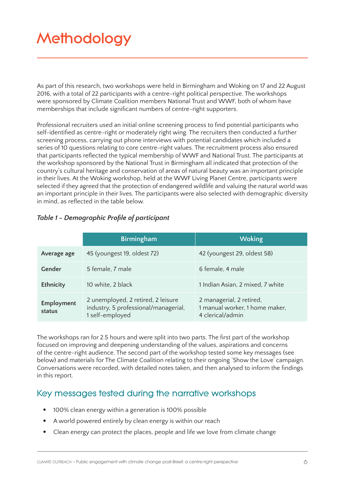# **Methodology**

As part of this research, two workshops were held in Birmingham and Woking on 17 and 22 August 2016, with a total of 22 participants with a centre-right political perspective. The workshops were sponsored by Climate Coalition members National Trust and WWF, both of whom have memberships that include significant numbers of centre-right supporters.

Professional recruiters used an initial online screening process to find potential participants who self-identified as centre-right or moderately right wing. The recruiters then conducted a further screening process, carrying out phone interviews with potential candidates which included a series of 10 questions relating to core centre-right values. The recruitment process also ensured that participants reflected the typical membership of WWF and National Trust. The participants at the workshop sponsored by the National Trust in Birmingham all indicated that protection of the country's cultural heritage and conservation of areas of natural beauty was an important principle in their lives. At the Woking workshop, held at the WWF Living Planet Centre, participants were selected if they agreed that the protection of endangered wildlife and valuing the natural world was an important principle in their lives. The participants were also selected with demographic diversity in mind, as reflected in the table below.

### *Table 1 - Demographic Profile of participant*

|                      | <b>Birmingham</b>                                                                             | <b>Woking</b>                                                                  |
|----------------------|-----------------------------------------------------------------------------------------------|--------------------------------------------------------------------------------|
| Average age          | 45 (youngest 19, oldest 72)                                                                   | 42 (youngest 29, oldest 58)                                                    |
| Gender               | 5 female, 7 male                                                                              | 6 female, 4 male                                                               |
| Ethnicity            | 10 white, 2 black                                                                             | 1 Indian Asian, 2 mixed, 7 white                                               |
| Employment<br>status | 2 unemployed, 2 retired, 2 leisure<br>industry, 5 professional/managerial,<br>1 self-employed | 2 managerial, 2 retired,<br>1 manual worker, 1 home maker,<br>4 clerical/admin |

The workshops ran for 2.5 hours and were split into two parts. The first part of the workshop focused on improving and deepening understanding of the values, aspirations and concerns of the centre-right audience. The second part of the workshop tested some key messages (see below) and materials for The Climate Coalition relating to their ongoing 'Show the Love' campaign. Conversations were recorded, with detailed notes taken, and then analysed to inform the findings in this report.

## **Key messages tested during the narrative workshops**

- 100% clean energy within a generation is 100% possible
- A world powered entirely by clean energy is within our reach
- Clean energy can protect the places, people and life we love from climate change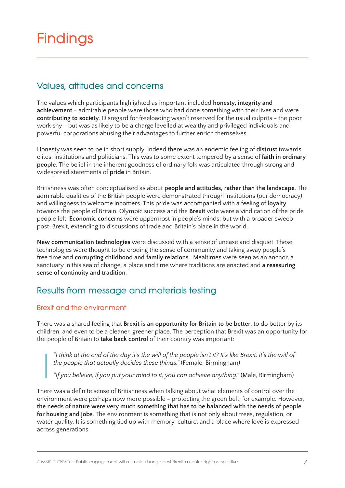## **Findings**

## **Values, attitudes and concerns**

The values which participants highlighted as important included **honesty, integrity and achievement** - admirable people were those who had done something with their lives and were **contributing to society**. Disregard for freeloading wasn't reserved for the usual culprits - the poor work shy - but was as likely to be a charge levelled at wealthy and privileged individuals and powerful corporations abusing their advantages to further enrich themselves.

Honesty was seen to be in short supply. Indeed there was an endemic feeling of **distrust** towards elites, institutions and politicians. This was to some extent tempered by a sense of **faith in ordinary people**. The belief in the inherent goodness of ordinary folk was articulated through strong and widespread statements of **pride** in Britain.

Britishness was often conceptualised as about **people and attitudes, rather than the landscape**. The admirable qualities of the British people were demonstrated through institutions (our democracy) and willingness to welcome incomers. This pride was accompanied with a feeling of **loyalty** towards the people of Britain. Olympic success and the **Brexit** vote were a vindication of the pride people felt. **Economic concerns** were uppermost in people's minds, but with a broader sweep post-Brexit, extending to discussions of trade and Britain's place in the world.

**New communication technologies** were discussed with a sense of unease and disquiet. These technologies were thought to be eroding the sense of community and taking away people's free time and **corrupting childhood and family relations**. Mealtimes were seen as an anchor, a sanctuary in this sea of change, a place and time where traditions are enacted and **a reassuring sense of continuity and tradition**.

## **Results from message and materials testing**

### **Brexit and the environment**

There was a shared feeling that **Brexit is an opportunity for Britain to be better**, to do better by its children, and even to be a cleaner, greener place. The perception that Brexit was an opportunity for the people of Britain to **take back control** of their country was important:

*"I think at the end of the day it's the will of the people isn't it? It's like Brexit, it's the will of the people that actually decides these things."* (Female, Birmingham)

*"If you believe, if you put your mind to it, you can achieve anything."* (Male, Birmingham)

There was a definite sense of Britishness when talking about what elements of control over the environment were perhaps now more possible - protecting the green belt, for example. However, **the needs of nature were very much something that has to be balanced with the needs of people for housing and jobs**. The environment is something that is not only about trees, regulation, or water quality. It is something tied up with memory, culture, and a place where love is expressed across generations.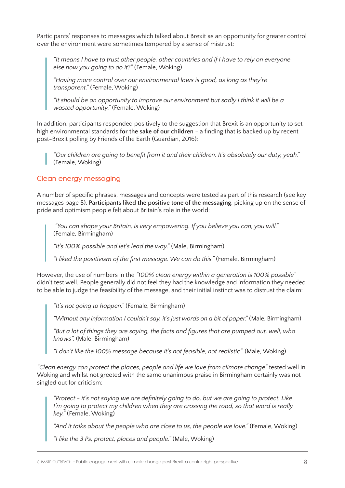Participants' responses to messages which talked about Brexit as an opportunity for greater control over the environment were sometimes tempered by a sense of mistrust:

*"It means I have to trust other people, other countries and if I have to rely on everyone else how you going to do it?"* (Female, Woking)

*"Having more control over our environmental laws is good, as long as they're transparent."* (Female, Woking)

*"It should be an opportunity to improve our environment but sadly I think it will be a wasted opportunity."* (Female, Woking)

In addition, participants responded positively to the suggestion that Brexit is an opportunity to set high environmental standards **for the sake of our children** - a finding that is backed up by recent post-Brexit polling by Friends of the Earth (Guardian, 2016):

*"Our children are going to benefit from it and their children. It's absolutely our duty, yeah."* (Female, Woking)

#### **Clean energy messaging**

A number of specific phrases, messages and concepts were tested as part of this research (see key messages page 5). **Participants liked the positive tone of the messaging**, picking up on the sense of pride and optimism people felt about Britain's role in the world:

 *"You can shape your Britain, is very empowering. If you believe you can, you will."* (Female, Birmingham)

*"It's 100% possible and let's lead the way."* (Male, Birmingham)

*"I liked the positivism of the first message. We can do this."* (Female, Birmingham)

However, the use of numbers in the *"100% clean energy within a generation is 100% possible"* didn't test well. People generally did not feel they had the knowledge and information they needed to be able to judge the feasibility of the message, and their initial instinct was to distrust the claim:

*"It's not going to happen."* (Female, Birmingham)

*"Without any information I couldn't say, it's just words on a bit of paper."* (Male, Birmingham)

*"But a lot of things they are saying, the facts and figures that are pumped out, well, who knows".* (Male, Birmingham)

*"I don't like the 100% message because it's not feasible, not realistic".* (Male, Woking)

*"Clean energy can protect the places, people and life we love from climate change"* tested well in Woking and whilst not greeted with the same unanimous praise in Birmingham certainly was not singled out for criticism:

*"Protect - it's not saying we are definitely going to do, but we are going to protect. Like I'm going to protect my children when they are crossing the road, so that word is really key."* (Female, Woking)

"And it talks about the people who are close to us, the people we love." (Female, Woking)

*"I like the 3 Ps, protect, places and people."* (Male, Woking)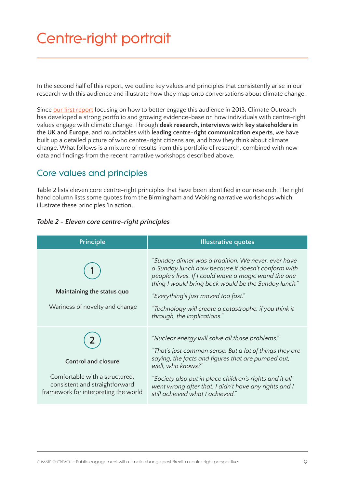# **Centre-right portrait**

In the second half of this report, we outline key values and principles that consistently arise in our research with this audience and illustrate how they map onto conversations about climate change.

Since [our first report](http://climateoutreach.org/resources/a-new-conversation-with-the-centre-right-about-climate-change) focusing on how to better engage this audience in 2013, Climate Outreach has developed a strong portfolio and growing evidence-base on how individuals with centre-right values engage with climate change. Through **desk research, interviews with key stakeholders in the UK and Europe**, and roundtables with **leading centre-right communication experts**, we have built up a detailed picture of who centre-right citizens are, and how they think about climate change. What follows is a mixture of results from this portfolio of research, combined with new data and findings from the recent narrative workshops described above.

## **Core values and principles**

Table 2 lists eleven core centre-right principles that have been identified in our research. The right hand column lists some quotes from the Birmingham and Woking narrative workshops which illustrate these principles 'in action'.

| Table 2 - Eleven core centre-right principles |  |  |  |
|-----------------------------------------------|--|--|--|
|                                               |  |  |  |

| Principle                                                                                                                              | <b>Illustrative quotes</b>                                                                                                                                                                                                                                                                                                                                |
|----------------------------------------------------------------------------------------------------------------------------------------|-----------------------------------------------------------------------------------------------------------------------------------------------------------------------------------------------------------------------------------------------------------------------------------------------------------------------------------------------------------|
| Maintaining the status quo<br>Wariness of novelty and change                                                                           | "Sunday dinner was a tradition. We never, ever have<br>a Sunday lunch now because it doesn't conform with<br>people's lives. If I could wave a magic wand the one<br>thing I would bring back would be the Sunday lunch."<br>"Everything's just moved too fast."<br>"Technology will create a catastrophe, if you think it<br>through, the implications." |
| <b>Control and closure</b><br>Comfortable with a structured,<br>consistent and straightforward<br>framework for interpreting the world | "Nuclear energy will solve all those problems."<br>"That's just common sense. But a lot of things they are<br>saying, the facts and figures that are pumped out,<br>well, who knows?"<br>"Society also put in place children's rights and it all<br>went wrong after that. I didn't have any rights and I<br>still achieved what I achieved."             |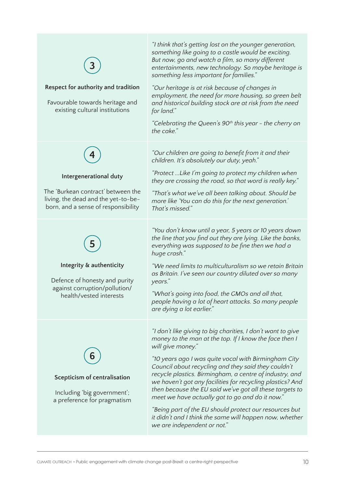| Respect for authority and tradition<br>Favourable towards heritage and<br>existing cultural institutions                                   | "I think that's getting lost on the younger generation,<br>something like going to a castle would be exciting.<br>But now, go and watch a film, so many different<br>entertainments, new technology. So maybe heritage is<br>something less important for families."<br>"Our heritage is at risk because of changes in<br>employment, the need for more housing, so green belt<br>and historical building stock are at risk from the need<br>for land."<br>"Celebrating the Queen's 90 <sup>th</sup> this year - the cherry on<br>the cake."                                                                                                        |
|--------------------------------------------------------------------------------------------------------------------------------------------|-----------------------------------------------------------------------------------------------------------------------------------------------------------------------------------------------------------------------------------------------------------------------------------------------------------------------------------------------------------------------------------------------------------------------------------------------------------------------------------------------------------------------------------------------------------------------------------------------------------------------------------------------------|
| Intergenerational duty<br>The 'Burkean contract' between the<br>living, the dead and the yet-to-be-<br>born, and a sense of responsibility | "Our children are going to benefit from it and their<br>children. It's absolutely our duty, yeah."<br>"Protect  Like I'm going to protect my children when<br>they are crossing the road, so that word is really key."<br>"That's what we've all been talking about. Should be<br>more like 'You can do this for the next generation.'<br>That's missed."                                                                                                                                                                                                                                                                                           |
| Integrity & authenticity<br>Defence of honesty and purity<br>against corruption/pollution/<br>health/vested interests                      | "You don't know until a year, 5 years or 10 years down<br>the line that you find out they are lying. Like the banks,<br>everything was supposed to be fine then we had a<br>huge crash."<br>"We need limits to multiculturalism so we retain Britain<br>as Britain. I've seen our country diluted over so many<br>years."<br>"What's going into food, the GMOs and all that,<br>people having a lot of heart attacks. So many people<br>are dying a lot earlier."                                                                                                                                                                                   |
| Scepticism of centralisation<br>Including 'big government';<br>a preference for pragmatism                                                 | "I don't like giving to big charities, I don't want to give<br>money to the man at the top. If I know the face then I<br>will give money."<br>"10 years ago I was quite vocal with Birmingham City<br>Council about recycling and they said they couldn't<br>recycle plastics. Birmingham, a centre of industry, and<br>we haven't got any facilities for recycling plastics? And<br>then because the EU said we've got all these targets to<br>meet we have actually got to go and do it now."<br>"Being part of the EU should protect our resources but<br>it didn't and I think the same will happen now, whether<br>we are independent or not." |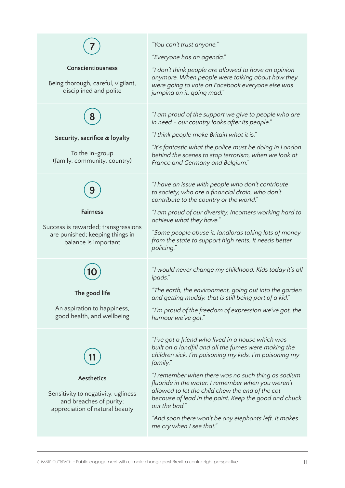| <b>Conscientiousness</b><br>Being thorough, careful, vigilant,<br>disciplined and polite<br>Security, sacrifice & loyalty<br>To the in-group | "You can't trust anyone."<br>"Everyone has an agenda."<br>"I don't think people are allowed to have an opinion<br>anymore. When people were talking about how they<br>were going to vote on Facebook everyone else was<br>jumping on it, going mad."<br>"I am proud of the support we give to people who are<br>in need - our country looks after its people."<br>"I think people make Britain what it is."<br>"It's fantastic what the police must be doing in London                                          |
|----------------------------------------------------------------------------------------------------------------------------------------------|-----------------------------------------------------------------------------------------------------------------------------------------------------------------------------------------------------------------------------------------------------------------------------------------------------------------------------------------------------------------------------------------------------------------------------------------------------------------------------------------------------------------|
| (family, community, country)                                                                                                                 | behind the scenes to stop terrorism, when we look at<br>France and Germany and Belgium."                                                                                                                                                                                                                                                                                                                                                                                                                        |
| <b>Fairness</b><br>Success is rewarded; transgressions<br>are punished; keeping things in<br>balance is important                            | "I have an issue with people who don't contribute<br>to society, who are a financial drain, who don't<br>contribute to the country or the world."<br>"I am proud of our diversity. Incomers working hard to<br>achieve what they have."<br>"Some people abuse it, landlords taking lots of money<br>from the state to support high rents. It needs better<br>policing."                                                                                                                                         |
| The good life<br>An aspiration to happiness,<br>good health, and wellbeing                                                                   | "I would never change my childhood. Kids today it's all<br>ipads."<br>"The earth, the environment, going out into the garden<br>and getting muddy, that is still being part of a kid."<br>"I'm proud of the freedom of expression we've got, the<br>humour we've got."                                                                                                                                                                                                                                          |
| <b>Aesthetics</b><br>Sensitivity to negativity, ugliness<br>and breaches of purity;<br>appreciation of natural beauty                        | "I've got a friend who lived in a house which was<br>built on a landfill and all the fumes were making the<br>children sick. I'm poisoning my kids, I'm poisoning my<br>family."<br>"I remember when there was no such thing as sodium<br>fluoride in the water. I remember when you weren't<br>allowed to let the child chew the end of the cot<br>because of lead in the paint. Keep the good and chuck<br>out the bad."<br>"And soon there won't be any elephants left. It makes<br>me cry when I see that." |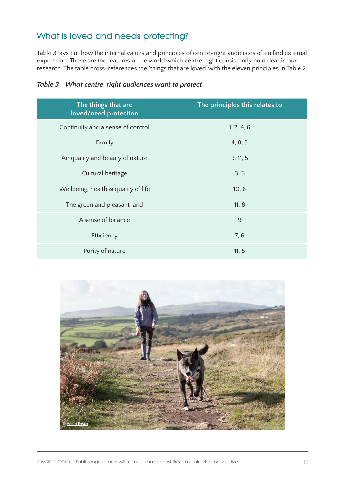## **What is loved and needs protecting?**

Table 3 lays out how the internal values and principles of centre-right audiences often find external expression. These are the features of the world which centre-right consistently hold dear in our research. The table cross-references the 'things that are loved' with the eleven principles in Table 2.

| The things that are<br>loved/need protection | The principles this relates to |
|----------------------------------------------|--------------------------------|
| Continuity and a sense of control            | 1, 2, 4, 6                     |
| Family                                       | 4, 8, 3                        |
| Air quality and beauty of nature             | 9, 11, 5                       |
| Cultural heritage                            | 3, 5                           |
| Wellbeing, health & quality of life          | 10, 8                          |
| The green and pleasant land                  | 11, 8                          |
| A sense of balance                           | 9                              |
| Efficiency                                   | 7,6                            |
| Purity of nature                             | 11, 5                          |

|  | Table 3 - What centre-right audiences want to protect |  |  |
|--|-------------------------------------------------------|--|--|
|  |                                                       |  |  |

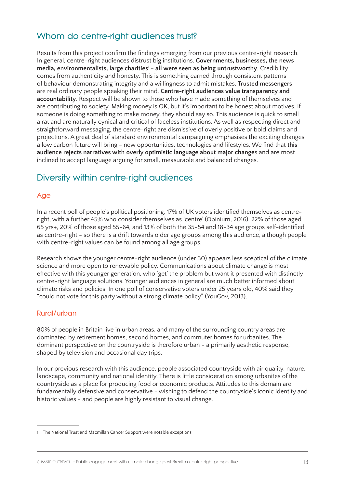## **Whom do centre-right audiences trust?**

Results from this project confirm the findings emerging from our previous centre-right research. In general, centre-right audiences distrust big institutions. **Governments, businesses, the news**  media, environmentalists, large charities<sup>1</sup> - all were seen as being untrustworthy. Credibility comes from authenticity and honesty. This is something earned through consistent patterns of behaviour demonstrating integrity and a willingness to admit mistakes. **Trusted messengers** are real ordinary people speaking their mind. **Centre-right audiences value transparency and accountability**. Respect will be shown to those who have made something of themselves and are contributing to society. Making money is OK, but it's important to be honest about motives. If someone is doing something to make money, they should say so. This audience is quick to smell a rat and are naturally cynical and critical of faceless institutions. As well as respecting direct and straightforward messaging, the centre-right are dismissive of overly positive or bold claims and projections. A great deal of standard environmental campaigning emphasises the exciting changes a low carbon future will bring - new opportunities, technologies and lifestyles. We find that **this audience rejects narratives with overly optimistic language about major change**s and are most inclined to accept language arguing for small, measurable and balanced changes.

## **Diversity within centre-right audiences**

## **Age**

In a recent poll of people's political positioning, 17% of UK voters identified themselves as centreright, with a further 45% who consider themselves as 'centre' (Opinium, 2016). 22% of those aged 65 yrs+, 20% of those aged 55-64, and 13% of both the 35-54 and 18-34 age groups self-identified as centre-right - so there is a drift towards older age groups among this audience, although people with centre-right values can be found among all age groups.

Research shows the younger centre-right audience (under 30) appears less sceptical of the climate science and more open to renewable policy. Communications about climate change is most effective with this younger generation, who 'get' the problem but want it presented with distinctly centre-right language solutions. Younger audiences in general are much better informed about climate risks and policies. In one poll of conservative voters under 25 years old, 40% said they "could not vote for this party without a strong climate policy" (YouGov, 2013).

#### **Rural/urban**

80% of people in Britain live in urban areas, and many of the surrounding country areas are dominated by retirement homes, second homes, and commuter homes for urbanites. The dominant perspective on the countryside is therefore urban - a primarily aesthetic response, shaped by television and occasional day trips.

In our previous research with this audience, people associated countryside with air quality, nature, landscape, community and national identity. There is little consideration among urbanites of the countryside as a place for producing food or economic products. Attitudes to this domain are fundamentally defensive and conservative - wishing to defend the countryside's iconic identity and historic values - and people are highly resistant to visual change.

<sup>1</sup> The National Trust and Macmillan Cancer Support were notable exceptions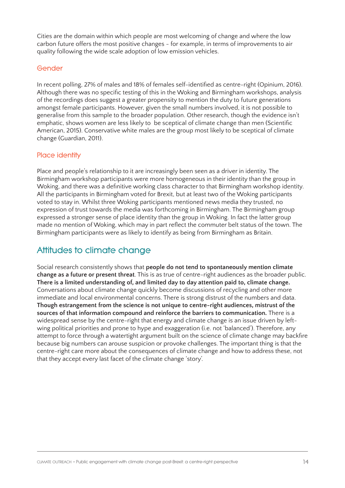Cities are the domain within which people are most welcoming of change and where the low carbon future offers the most positive changes - for example, in terms of improvements to air quality following the wide scale adoption of low emission vehicles.

#### **Gender**

In recent polling, 27% of males and 18% of females self-identified as centre-right (Opinium, 2016). Although there was no specific testing of this in the Woking and Birmingham workshops, analysis of the recordings does suggest a greater propensity to mention the duty to future generations amongst female participants. However, given the small numbers involved, it is not possible to generalise from this sample to the broader population. Other research, though the evidence isn't emphatic, shows women are less likely to be sceptical of climate change than men (Scientific American, 2015). Conservative white males are the group most likely to be sceptical of climate change (Guardian, 2011).

### **Place identity**

Place and people's relationship to it are increasingly been seen as a driver in identity. The Birmingham workshop participants were more homogeneous in their identity than the group in Woking, and there was a definitive working class character to that Birmingham workshop identity. All the participants in Birmingham voted for Brexit, but at least two of the Woking participants voted to stay in. Whilst three Woking participants mentioned news media they trusted, no expression of trust towards the media was forthcoming in Birmingham. The Birmingham group expressed a stronger sense of place identity than the group in Woking. In fact the latter group made no mention of Woking, which may in part reflect the commuter belt status of the town. The Birmingham participants were as likely to identify as being from Birmingham as Britain.

## **Attitudes to climate change**

Social research consistently shows that **people do not tend to spontaneously mention climate change as a future or present threat**. This is as true of centre-right audiences as the broader public. **There is a limited understanding of, and limited day to day attention paid to, climate change.** Conversations about climate change quickly become discussions of recycling and other more immediate and local environmental concerns. There is strong distrust of the numbers and data. **Though estrangement from the science is not unique to centre-right audiences, mistrust of the sources of that information compound and reinforce the barriers to communication.** There is a widespread sense by the centre-right that energy and climate change is an issue driven by leftwing political priorities and prone to hype and exaggeration (i.e. not 'balanced'). Therefore, any attempt to force through a watertight argument built on the science of climate change may backfire because big numbers can arouse suspicion or provoke challenges. The important thing is that the centre-right care more about the consequences of climate change and how to address these, not that they accept every last facet of the climate change 'story'.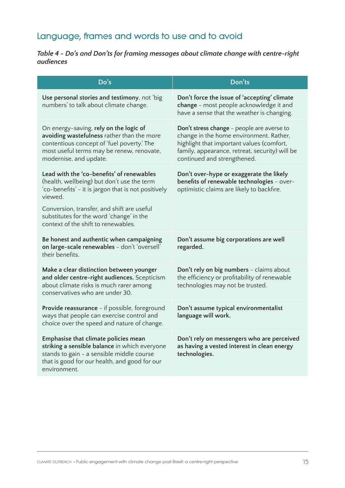## **Language, frames and words to use and to avoid**

### *Table 4 - Do's and Don'ts for framing messages about climate change with centre-right audiences*

| Do's                                                                                                                                                                                                      | Don'ts                                                                                                                                                                                                              |
|-----------------------------------------------------------------------------------------------------------------------------------------------------------------------------------------------------------|---------------------------------------------------------------------------------------------------------------------------------------------------------------------------------------------------------------------|
| Use personal stories and testimony, not 'big<br>numbers' to talk about climate change.                                                                                                                    | Don't force the issue of 'accepting' climate<br>change - most people acknowledge it and<br>have a sense that the weather is changing.                                                                               |
| On energy-saving, rely on the logic of<br>avoiding wastefulness rather than the more<br>contentious concept of 'fuel poverty.' The<br>most useful terms may be renew, renovate,<br>modernise, and update. | Don't stress change - people are averse to<br>change in the home environment. Rather,<br>highlight that important values (comfort,<br>family, appearance, retreat, security) will be<br>continued and strengthened. |
| Lead with the 'co-benefits' of renewables<br>(health, wellbeing) but don't use the term<br>'co-benefits' - it is jargon that is not positively<br>viewed.                                                 | Don't over-hype or exaggerate the likely<br>benefits of renewable technologies - over-<br>optimistic claims are likely to backfire.                                                                                 |
| Conversion, transfer, and shift are useful<br>substitutes for the word 'change' in the<br>context of the shift to renewables.                                                                             |                                                                                                                                                                                                                     |
| Be honest and authentic when campaigning<br>on large-scale renewables - don't 'oversell'<br>their benefits.                                                                                               | Don't assume big corporations are well<br>regarded.                                                                                                                                                                 |
| Make a clear distinction between younger<br>and older centre-right audiences. Scepticism<br>about climate risks is much rarer among<br>conservatives who are under 30.                                    | Don't rely on big numbers - claims about<br>the efficiency or profitability of renewable<br>technologies may not be trusted.                                                                                        |
| Provide reassurance - if possible, foreground<br>ways that people can exercise control and<br>choice over the speed and nature of change.                                                                 | Don't assume typical environmentalist<br>language will work.                                                                                                                                                        |
| Emphasise that climate policies mean<br>striking a sensible balance in which everyone<br>stands to gain - a sensible middle course<br>that is good for our health, and good for our<br>environment.       | Don't rely on messengers who are perceived<br>as having a vested interest in clean energy<br>technologies.                                                                                                          |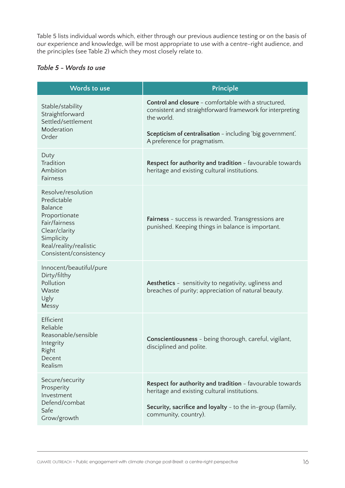Table 5 lists individual words which, either through our previous audience testing or on the basis of our experience and knowledge, will be most appropriate to use with a centre-right audience, and the principles (see Table 2) which they most closely relate to.

### *Table 5 - Words to use*

| <b>Words to use</b>                                                                                                                                               | Principle                                                                                                                                                                                      |
|-------------------------------------------------------------------------------------------------------------------------------------------------------------------|------------------------------------------------------------------------------------------------------------------------------------------------------------------------------------------------|
| Stable/stability<br>Straightforward<br>Settled/settlement<br>Moderation                                                                                           | <b>Control and closure</b> - comfortable with a structured,<br>consistent and straightforward framework for interpreting<br>the world.                                                         |
| Order                                                                                                                                                             | Scepticism of centralisation - including 'big government'.<br>A preference for pragmatism.                                                                                                     |
| Duty<br>Tradition<br>Ambition<br><b>Fairness</b>                                                                                                                  | Respect for authority and tradition - favourable towards<br>heritage and existing cultural institutions.                                                                                       |
| Resolve/resolution<br>Predictable<br>Balance<br>Proportionate<br>Fair/fairness<br>Clear/clarity<br>Simplicity<br>Real/reality/realistic<br>Consistent/consistency | Fairness - success is rewarded. Transgressions are<br>punished. Keeping things in balance is important.                                                                                        |
| Innocent/beautiful/pure<br>Dirty/filthy<br>Pollution<br>Waste<br>Ugly<br>Messy                                                                                    | Aesthetics - sensitivity to negativity, ugliness and<br>breaches of purity; appreciation of natural beauty.                                                                                    |
| Efficient<br>Reliable<br>Reasonable/sensible<br>Integrity<br>Right<br>Decent<br>Realism                                                                           | <b>Conscientiousness</b> - being thorough, careful, vigilant,<br>disciplined and polite.                                                                                                       |
| Secure/security<br>Prosperity<br>Investment<br>Defend/combat<br>Safe<br>Grow/growth                                                                               | Respect for authority and tradition - favourable towards<br>heritage and existing cultural institutions.<br>Security, sacrifice and loyalty - to the in-group (family,<br>community, country). |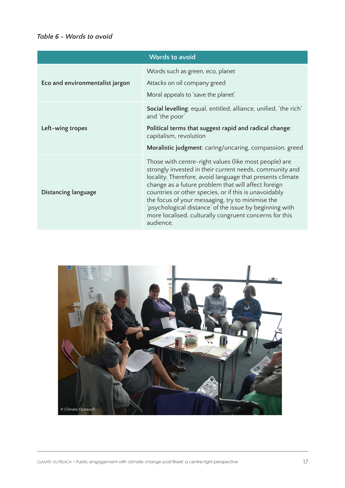## *Table 6 - Words to avoid*

| <b>Words to avoid</b>           |                                                                                                                                                                                                                                                                                                                                                                                                                                                                                     |  |
|---------------------------------|-------------------------------------------------------------------------------------------------------------------------------------------------------------------------------------------------------------------------------------------------------------------------------------------------------------------------------------------------------------------------------------------------------------------------------------------------------------------------------------|--|
| Eco and environmentalist jargon | Words such as green, eco, planet<br>Attacks on oil company greed<br>Moral appeals to 'save the planet'                                                                                                                                                                                                                                                                                                                                                                              |  |
| Left-wing tropes                | Social levelling: equal, entitled, alliance, unified, 'the rich'<br>and 'the poor'<br>Political terms that suggest rapid and radical change:<br>capitalism, revolution<br>Moralistic judgment: caring/uncaring, compassion, greed                                                                                                                                                                                                                                                   |  |
| Distancing language             | Those with centre-right values (like most people) are<br>strongly invested in their current needs, community and<br>locality. Therefore, avoid language that presents climate<br>change as a future problem that will affect foreign<br>countries or other species, or if this is unavoidably<br>the focus of your messaging, try to minimise the<br>'psychological distance' of the issue by beginning with<br>more localised, culturally congruent concerns for this<br>audience. |  |